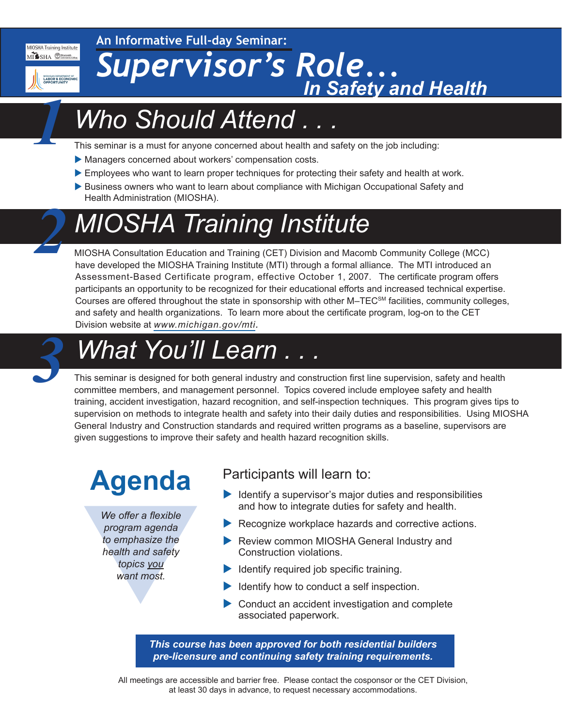MIOSHA Training Institute MISSHA CHacomb

*1*

*2*

**An Informative Full-day Seminar:**

MICHIGAN DEPARTMENT OF<br>LABOR & ECONOMIC

# *Supervisor's Role... In Safety and Health*

### *Who Should Attend . . .*

This seminar is a must for anyone concerned about health and safety on the job including:

- Managers concerned about workers' compensation costs.
- Employees who want to learn proper techniques for protecting their safety and health at work.
- Business owners who want to learn about compliance with Michigan Occupational Safety and Health Administration (MIOSHA).

### *MIOSHA Training Institute*

MIOSHA Consultation Education and Training (CET) Division and Macomb Community College (MCC) have developed the MIOSHA Training Institute (MTI) through a formal alliance. The MTI introduced an Assessment-Based Certificate program, effective October 1, 2007. The certificate program offers participants an opportunity to be recognized for their educational efforts and increased technical expertise. Courses are offered throughout the state in sponsorship with other M–TECSM facilities, community colleges, and safety and health organizations. To learn more about the certificate program, log-on to the CET Division website at *[www.michigan.gov/mti.](http://www.michigan.gov/mti)*

### *What You'll Learn . . . 3*

This seminar is designed for both general industry and construction first line supervision, safety and health committee members, and management personnel. Topics covered include employee safety and health training, accident investigation, hazard recognition, and self-inspection techniques. This program gives tips to supervision on methods to integrate health and safety into their daily duties and responsibilities. Using MIOSHA General Industry and Construction standards and required written programs as a baseline, supervisors are given suggestions to improve their safety and health hazard recognition skills.

## **Agenda**

We offer a flexible<br>program agenda<br>to emphasize the<br>health and safety<br>topics you<br>want most. *We offer a flexible program agenda to emphasize the health and safety topics you want most.*

### Participants will learn to:

- $\blacktriangleright$  Identify a supervisor's major duties and responsibilities and how to integrate duties for safety and health.
- $\blacktriangleright$  Recognize workplace hazards and corrective actions.
- Review common MIOSHA General Industry and Construction violations.
- $\blacktriangleright$  Identify required job specific training.
- $\blacktriangleright$  Identify how to conduct a self inspection.
- $\triangleright$  Conduct an accident investigation and complete associated paperwork.

*This course has been approved for both residential builders pre-licensure and continuing safety training requirements.*

All meetings are accessible and barrier free. Please contact the cosponsor or the CET Division, at least 30 days in advance, to request necessary accommodations.